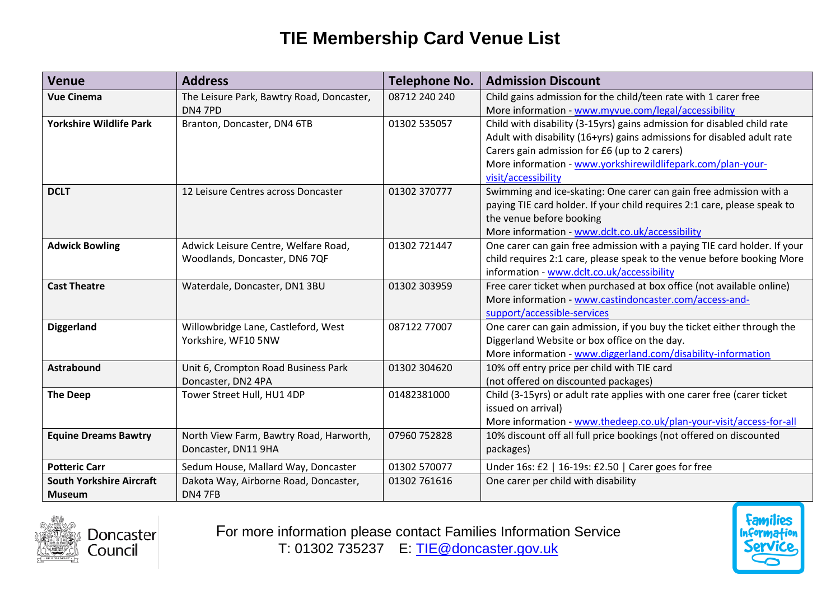## **TIE Membership Card Venue List**

| <b>Venue</b>                    | <b>Address</b>                            | <b>Telephone No.</b> | <b>Admission Discount</b>                                                |
|---------------------------------|-------------------------------------------|----------------------|--------------------------------------------------------------------------|
| <b>Vue Cinema</b>               | The Leisure Park, Bawtry Road, Doncaster, | 08712 240 240        | Child gains admission for the child/teen rate with 1 carer free          |
|                                 | <b>DN4 7PD</b>                            |                      | More information - www.myvue.com/legal/accessibility                     |
| <b>Yorkshire Wildlife Park</b>  | Branton, Doncaster, DN4 6TB               | 01302 535057         | Child with disability (3-15yrs) gains admission for disabled child rate  |
|                                 |                                           |                      | Adult with disability (16+yrs) gains admissions for disabled adult rate  |
|                                 |                                           |                      | Carers gain admission for £6 (up to 2 carers)                            |
|                                 |                                           |                      | More information - www.yorkshirewildlifepark.com/plan-your-              |
|                                 |                                           |                      | visit/accessibility                                                      |
| <b>DCLT</b>                     | 12 Leisure Centres across Doncaster       | 01302 370777         | Swimming and ice-skating: One carer can gain free admission with a       |
|                                 |                                           |                      | paying TIE card holder. If your child requires 2:1 care, please speak to |
|                                 |                                           |                      | the venue before booking                                                 |
|                                 |                                           |                      | More information - www.dclt.co.uk/accessibility                          |
| <b>Adwick Bowling</b>           | Adwick Leisure Centre, Welfare Road,      | 01302 721447         | One carer can gain free admission with a paying TIE card holder. If your |
|                                 | Woodlands, Doncaster, DN6 7QF             |                      | child requires 2:1 care, please speak to the venue before booking More   |
|                                 |                                           |                      | information - www.dclt.co.uk/accessibility                               |
| <b>Cast Theatre</b>             | Waterdale, Doncaster, DN1 3BU             | 01302 303959         | Free carer ticket when purchased at box office (not available online)    |
|                                 |                                           |                      | More information - www.castindoncaster.com/access-and-                   |
|                                 |                                           |                      | support/accessible-services                                              |
| <b>Diggerland</b>               | Willowbridge Lane, Castleford, West       | 087122 77007         | One carer can gain admission, if you buy the ticket either through the   |
|                                 | Yorkshire, WF10 5NW                       |                      | Diggerland Website or box office on the day.                             |
|                                 |                                           |                      | More information - www.diggerland.com/disability-information             |
| <b>Astrabound</b>               | Unit 6, Crompton Road Business Park       | 01302 304620         | 10% off entry price per child with TIE card                              |
|                                 | Doncaster, DN2 4PA                        |                      | (not offered on discounted packages)                                     |
| <b>The Deep</b>                 | Tower Street Hull, HU1 4DP                | 01482381000          | Child (3-15yrs) or adult rate applies with one carer free (carer ticket  |
|                                 |                                           |                      | issued on arrival)                                                       |
|                                 |                                           |                      | More information - www.thedeep.co.uk/plan-your-visit/access-for-all      |
| <b>Equine Dreams Bawtry</b>     | North View Farm, Bawtry Road, Harworth,   | 07960 752828         | 10% discount off all full price bookings (not offered on discounted      |
|                                 | Doncaster, DN11 9HA                       |                      | packages)                                                                |
| <b>Potteric Carr</b>            | Sedum House, Mallard Way, Doncaster       | 01302 570077         | Under 16s: £2   16-19s: £2.50   Carer goes for free                      |
| <b>South Yorkshire Aircraft</b> | Dakota Way, Airborne Road, Doncaster,     | 01302 761616         | One carer per child with disability                                      |
| <b>Museum</b>                   | DN4 7FB                                   |                      |                                                                          |